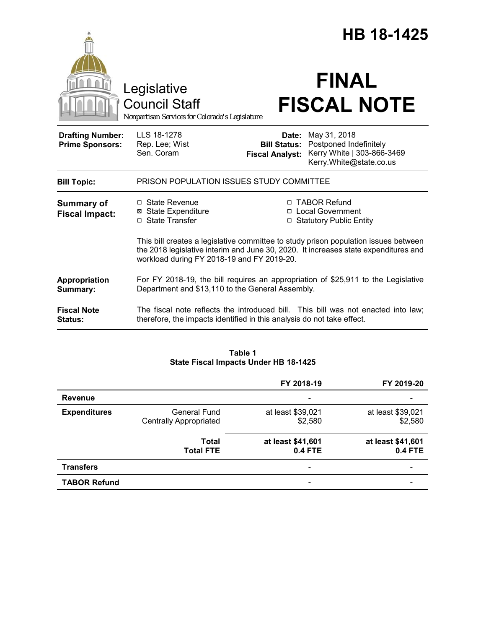|                                                   |                                                                                                                                                                                                                          |                                                        | <b>HB 18-1425</b>                                                 |                            |  |
|---------------------------------------------------|--------------------------------------------------------------------------------------------------------------------------------------------------------------------------------------------------------------------------|--------------------------------------------------------|-------------------------------------------------------------------|----------------------------|--|
|                                                   | Legislative<br><b>Council Staff</b><br>Nonpartisan Services for Colorado's Legislature                                                                                                                                   |                                                        | <b>FINAL</b>                                                      | <b>FISCAL NOTE</b>         |  |
| <b>Drafting Number:</b><br><b>Prime Sponsors:</b> | LLS 18-1278<br>Rep. Lee; Wist<br>Sen. Coram                                                                                                                                                                              | Date:<br><b>Bill Status:</b><br><b>Fiscal Analyst:</b> | May 31, 2018<br>Postponed Indefinitely<br>Kerry.White@state.co.us | Kerry White   303-866-3469 |  |
| <b>Bill Topic:</b>                                | PRISON POPULATION ISSUES STUDY COMMITTEE                                                                                                                                                                                 |                                                        |                                                                   |                            |  |
| <b>Summary of</b><br><b>Fiscal Impact:</b>        | □ State Revenue<br><b>⊠ State Expenditure</b><br>□ State Transfer                                                                                                                                                        |                                                        | □ TABOR Refund<br>□ Local Government<br>□ Statutory Public Entity |                            |  |
|                                                   | This bill creates a legislative committee to study prison population issues between<br>the 2018 legislative interim and June 30, 2020. It increases state expenditures and<br>workload during FY 2018-19 and FY 2019-20. |                                                        |                                                                   |                            |  |
| Appropriation<br>Summary:                         | For FY 2018-19, the bill requires an appropriation of \$25,911 to the Legislative<br>Department and \$13,110 to the General Assembly.                                                                                    |                                                        |                                                                   |                            |  |
| <b>Fiscal Note</b><br><b>Status:</b>              | The fiscal note reflects the introduced bill. This bill was not enacted into law;<br>therefore, the impacts identified in this analysis do not take effect.                                                              |                                                        |                                                                   |                            |  |

## **Table 1 State Fiscal Impacts Under HB 18-1425**

|                     |                                                      | FY 2018-19                          | FY 2019-20                          |
|---------------------|------------------------------------------------------|-------------------------------------|-------------------------------------|
| <b>Revenue</b>      |                                                      |                                     |                                     |
| <b>Expenditures</b> | <b>General Fund</b><br><b>Centrally Appropriated</b> | at least \$39,021<br>\$2,580        | at least \$39,021<br>\$2,580        |
|                     | <b>Total</b><br><b>Total FTE</b>                     | at least \$41,601<br><b>0.4 FTE</b> | at least \$41,601<br><b>0.4 FTE</b> |
| <b>Transfers</b>    |                                                      | $\overline{\phantom{a}}$            |                                     |
| <b>TABOR Refund</b> |                                                      | -                                   |                                     |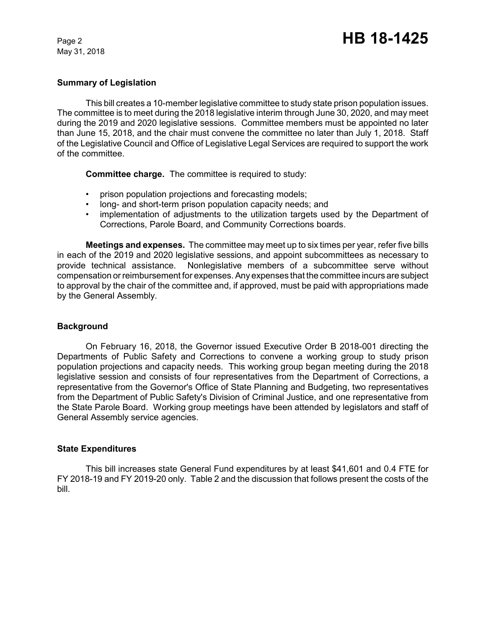May 31, 2018

### **Summary of Legislation**

This bill creates a 10-member legislative committee to study state prison population issues. The committee is to meet during the 2018 legislative interim through June 30, 2020, and may meet during the 2019 and 2020 legislative sessions. Committee members must be appointed no later than June 15, 2018, and the chair must convene the committee no later than July 1, 2018. Staff of the Legislative Council and Office of Legislative Legal Services are required to support the work of the committee.

**Committee charge.** The committee is required to study:

- prison population projections and forecasting models;
- long- and short-term prison population capacity needs; and
- implementation of adjustments to the utilization targets used by the Department of Corrections, Parole Board, and Community Corrections boards.

**Meetings and expenses.** The committee may meet up to six times per year, refer five bills in each of the 2019 and 2020 legislative sessions, and appoint subcommittees as necessary to provide technical assistance. Nonlegislative members of a subcommittee serve without compensation or reimbursement for expenses. Any expenses that the committee incurs are subject to approval by the chair of the committee and, if approved, must be paid with appropriations made by the General Assembly.

#### **Background**

On February 16, 2018, the Governor issued Executive Order B 2018-001 directing the Departments of Public Safety and Corrections to convene a working group to study prison population projections and capacity needs. This working group began meeting during the 2018 legislative session and consists of four representatives from the Department of Corrections, a representative from the Governor's Office of State Planning and Budgeting, two representatives from the Department of Public Safety's Division of Criminal Justice, and one representative from the State Parole Board. Working group meetings have been attended by legislators and staff of General Assembly service agencies.

#### **State Expenditures**

This bill increases state General Fund expenditures by at least \$41,601 and 0.4 FTE for FY 2018-19 and FY 2019-20 only. Table 2 and the discussion that follows present the costs of the bill.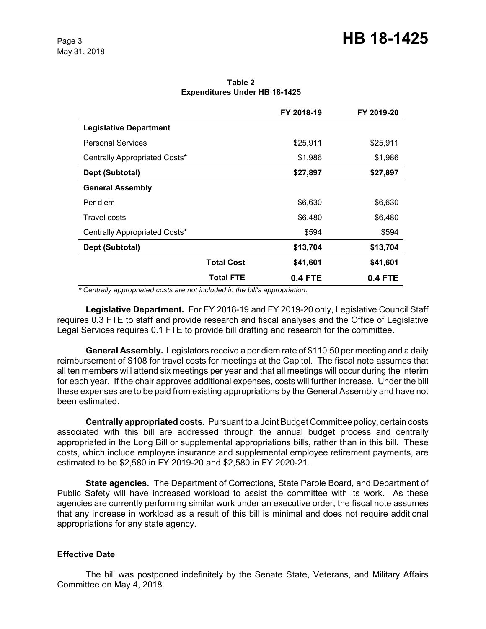**Table 2 Expenditures Under HB 18-1425**

|                               |                   | FY 2018-19 | FY 2019-20 |
|-------------------------------|-------------------|------------|------------|
| <b>Legislative Department</b> |                   |            |            |
| <b>Personal Services</b>      |                   | \$25,911   | \$25,911   |
| Centrally Appropriated Costs* |                   | \$1,986    | \$1,986    |
| Dept (Subtotal)               |                   | \$27,897   | \$27,897   |
| <b>General Assembly</b>       |                   |            |            |
| Per diem                      |                   | \$6,630    | \$6,630    |
| Travel costs                  |                   | \$6,480    | \$6,480    |
| Centrally Appropriated Costs* |                   | \$594      | \$594      |
| Dept (Subtotal)               |                   | \$13,704   | \$13,704   |
|                               | <b>Total Cost</b> | \$41,601   | \$41,601   |
|                               | <b>Total FTE</b>  | 0.4 FTE    | 0.4 FTE    |

 *\* Centrally appropriated costs are not included in the bill's appropriation.*

**Legislative Department.** For FY 2018-19 and FY 2019-20 only, Legislative Council Staff requires 0.3 FTE to staff and provide research and fiscal analyses and the Office of Legislative Legal Services requires 0.1 FTE to provide bill drafting and research for the committee.

**General Assembly.** Legislators receive a per diem rate of \$110.50 per meeting and a daily reimbursement of \$108 for travel costs for meetings at the Capitol. The fiscal note assumes that all ten members will attend six meetings per year and that all meetings will occur during the interim for each year.If the chair approves additional expenses, costs will further increase. Under the bill these expenses are to be paid from existing appropriations by the General Assembly and have not been estimated.

**Centrally appropriated costs.** Pursuant to a Joint Budget Committee policy, certain costs associated with this bill are addressed through the annual budget process and centrally appropriated in the Long Bill or supplemental appropriations bills, rather than in this bill. These costs, which include employee insurance and supplemental employee retirement payments, are estimated to be \$2,580 in FY 2019-20 and \$2,580 in FY 2020-21.

**State agencies.** The Department of Corrections, State Parole Board, and Department of Public Safety will have increased workload to assist the committee with its work. As these agencies are currently performing similar work under an executive order, the fiscal note assumes that any increase in workload as a result of this bill is minimal and does not require additional appropriations for any state agency.

## **Effective Date**

The bill was postponed indefinitely by the Senate State, Veterans, and Military Affairs Committee on May 4, 2018.